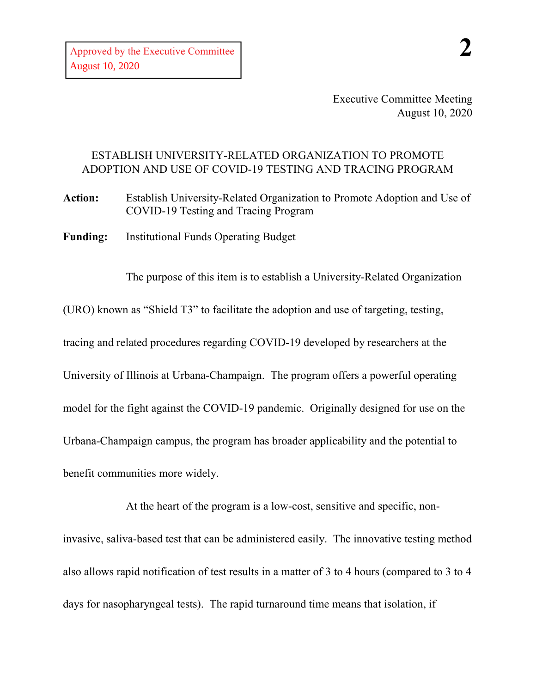Executive Committee Meeting August 10, 2020

## ESTABLISH UNIVERSITY-RELATED ORGANIZATION TO PROMOTE ADOPTION AND USE OF COVID-19 TESTING AND TRACING PROGRAM

**Action:** Establish University-Related Organization to Promote Adoption and Use of COVID-19 Testing and Tracing Program

**Funding:** Institutional Funds Operating Budget

The purpose of this item is to establish a University-Related Organization

(URO) known as "Shield T3" to facilitate the adoption and use of targeting, testing,

tracing and related procedures regarding COVID-19 developed by researchers at the

University of Illinois at Urbana-Champaign. The program offers a powerful operating model for the fight against the COVID-19 pandemic. Originally designed for use on the Urbana-Champaign campus, the program has broader applicability and the potential to benefit communities more widely.

At the heart of the program is a low-cost, sensitive and specific, noninvasive, saliva-based test that can be administered easily. The innovative testing method also allows rapid notification of test results in a matter of 3 to 4 hours (compared to 3 to 4 days for nasopharyngeal tests). The rapid turnaround time means that isolation, if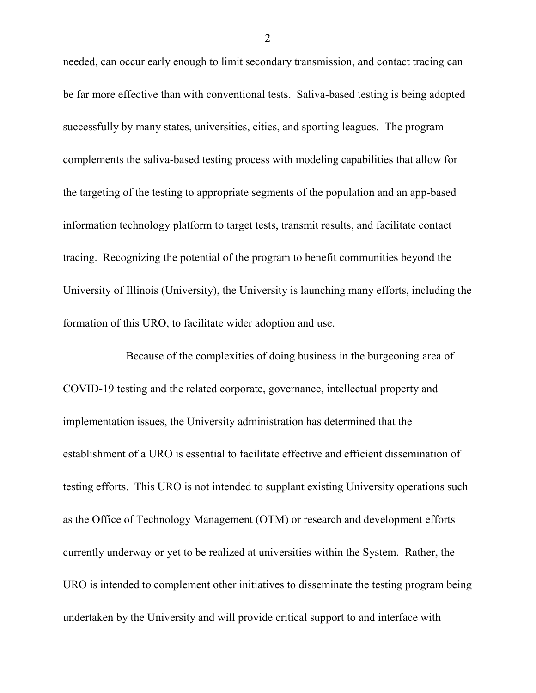needed, can occur early enough to limit secondary transmission, and contact tracing can be far more effective than with conventional tests. Saliva-based testing is being adopted successfully by many states, universities, cities, and sporting leagues. The program complements the saliva-based testing process with modeling capabilities that allow for the targeting of the testing to appropriate segments of the population and an app-based information technology platform to target tests, transmit results, and facilitate contact tracing. Recognizing the potential of the program to benefit communities beyond the University of Illinois (University), the University is launching many efforts, including the formation of this URO, to facilitate wider adoption and use.

Because of the complexities of doing business in the burgeoning area of COVID-19 testing and the related corporate, governance, intellectual property and implementation issues, the University administration has determined that the establishment of a URO is essential to facilitate effective and efficient dissemination of testing efforts. This URO is not intended to supplant existing University operations such as the Office of Technology Management (OTM) or research and development efforts currently underway or yet to be realized at universities within the System. Rather, the URO is intended to complement other initiatives to disseminate the testing program being undertaken by the University and will provide critical support to and interface with

2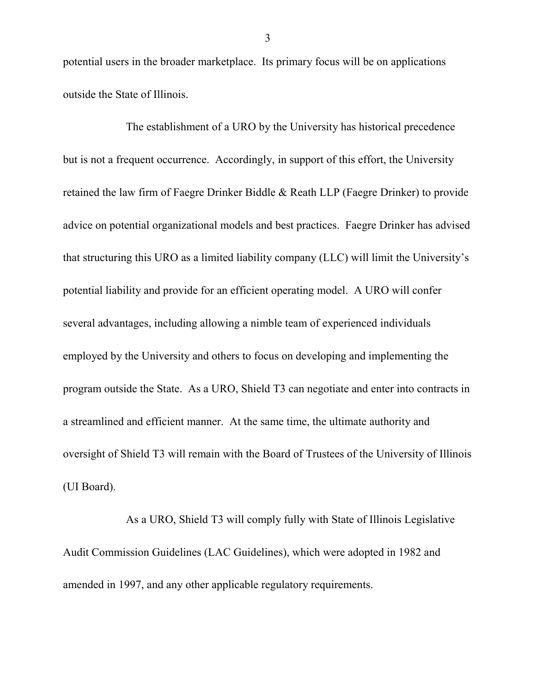potential users in the broader marketplace. Its primary focus will be on applications outside the State of Illinois.

The establishment of a URO by the University has historical precedence but is not a frequent occurrence. Accordingly, in support of this effort, the University retained the law firm of Faegre Drinker Biddle & Reath LLP (Faegre Drinker) to provide advice on potential organizational models and best practices. Faegre Drinker has advised that structuring this URO as a limited liability company (LLC) will limit the University's potential liability and provide for an efficient operating model. A URO will confer several advantages, including allowing a nimble team of experienced individuals employed by the University and others to focus on developing and implementing the program outside the State. As a URO, Shield T3 can negotiate and enter into contracts in a streamlined and efficient manner. At the same time, the ultimate authority and oversight of Shield T3 will remain with the Board of Trustees of the University of Illinois (UI Board).

As a URO, Shield T3 will comply fully with State of Illinois Legislative Audit Commission Guidelines (LAC Guidelines), which were adopted in 1982 and amended in 1997, and any other applicable regulatory requirements.

3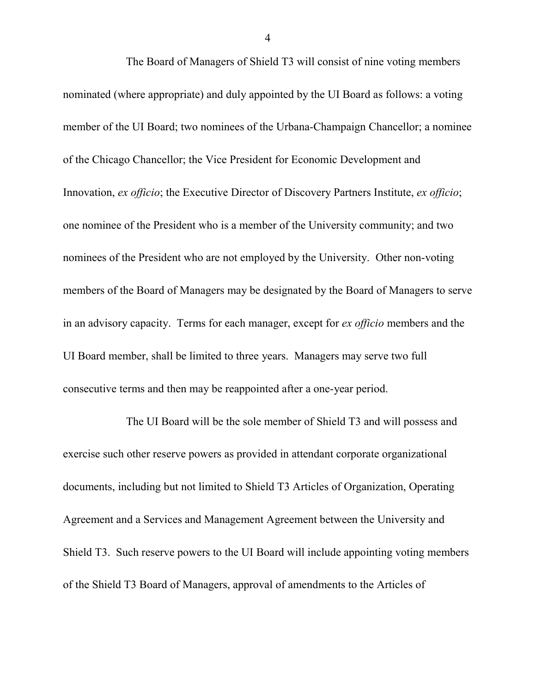The Board of Managers of Shield T3 will consist of nine voting members nominated (where appropriate) and duly appointed by the UI Board as follows: a voting member of the UI Board; two nominees of the Urbana-Champaign Chancellor; a nominee of the Chicago Chancellor; the Vice President for Economic Development and Innovation, *ex officio*; the Executive Director of Discovery Partners Institute, *ex officio*; one nominee of the President who is a member of the University community; and two nominees of the President who are not employed by the University. Other non-voting members of the Board of Managers may be designated by the Board of Managers to serve in an advisory capacity. Terms for each manager, except for *ex officio* members and the UI Board member, shall be limited to three years. Managers may serve two full consecutive terms and then may be reappointed after a one-year period.

The UI Board will be the sole member of Shield T3 and will possess and exercise such other reserve powers as provided in attendant corporate organizational documents, including but not limited to Shield T3 Articles of Organization, Operating Agreement and a Services and Management Agreement between the University and Shield T3. Such reserve powers to the UI Board will include appointing voting members of the Shield T3 Board of Managers, approval of amendments to the Articles of

4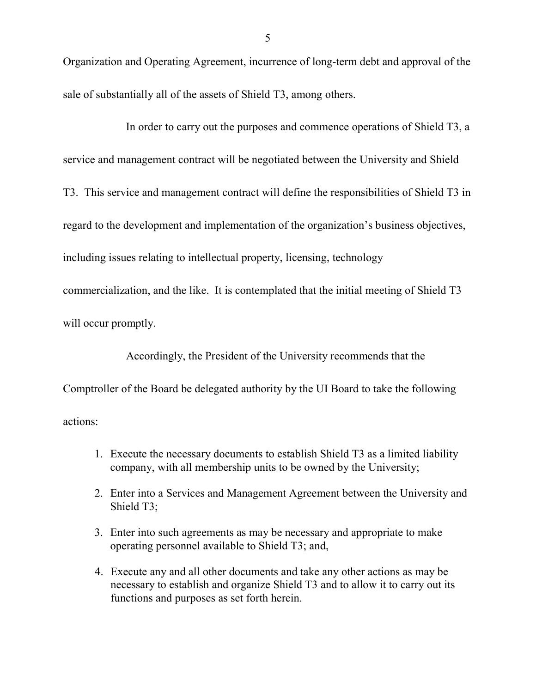Organization and Operating Agreement, incurrence of long-term debt and approval of the sale of substantially all of the assets of Shield T3, among others.

## In order to carry out the purposes and commence operations of Shield T3, a service and management contract will be negotiated between the University and Shield

T3. This service and management contract will define the responsibilities of Shield T3 in

regard to the development and implementation of the organization's business objectives,

including issues relating to intellectual property, licensing, technology

commercialization, and the like. It is contemplated that the initial meeting of Shield T3

will occur promptly.

Accordingly, the President of the University recommends that the

Comptroller of the Board be delegated authority by the UI Board to take the following

actions:

- 1. Execute the necessary documents to establish Shield T3 as a limited liability company, with all membership units to be owned by the University;
- 2. Enter into a Services and Management Agreement between the University and Shield T3;
- 3. Enter into such agreements as may be necessary and appropriate to make operating personnel available to Shield T3; and,
- 4. Execute any and all other documents and take any other actions as may be necessary to establish and organize Shield T3 and to allow it to carry out its functions and purposes as set forth herein.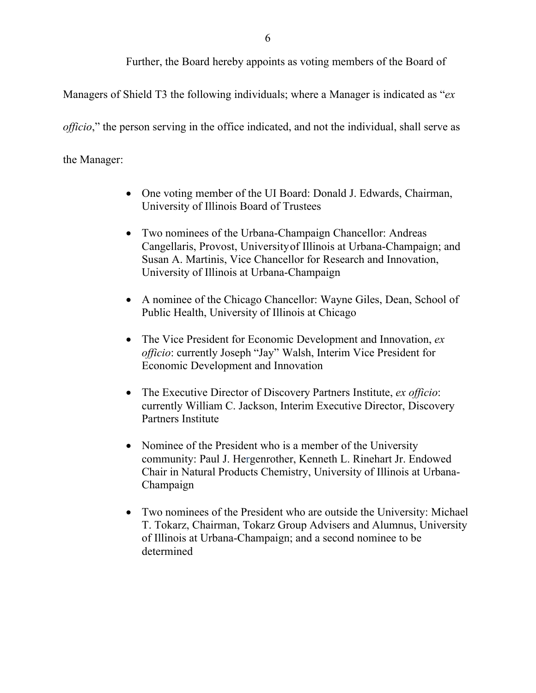Further, the Board hereby appoints as voting members of the Board of

Managers of Shield T3 the following individuals; where a Manager is indicated as "*ex* 

*officio*," the person serving in the office indicated, and not the individual, shall serve as

the Manager:

- One voting member of the UI Board: Donald J. Edwards, Chairman, University of Illinois Board of Trustees
- Two nominees of the Urbana-Champaign Chancellor: Andreas Cangellaris, Provost, Universityof Illinois at Urbana-Champaign; and Susan A. Martinis, Vice Chancellor for Research and Innovation, University of Illinois at Urbana-Champaign
- A nominee of the Chicago Chancellor: Wayne Giles, Dean, School of Public Health, University of Illinois at Chicago
- The Vice President for Economic Development and Innovation, *ex officio*: currently Joseph "Jay" Walsh, Interim Vice President for Economic Development and Innovation
- The Executive Director of Discovery Partners Institute, *ex officio*: currently William C. Jackson, Interim Executive Director, Discovery Partners Institute
- Nominee of the President who is a member of the University community: Paul J. Hergenrother, Kenneth L. Rinehart Jr. Endowed Chair in Natural Products Chemistry, University of Illinois at Urbana-Champaign
- Two nominees of the President who are outside the University: Michael T. Tokarz, Chairman, Tokarz Group Advisers and Alumnus, University of Illinois at Urbana-Champaign; and a second nominee to be determined